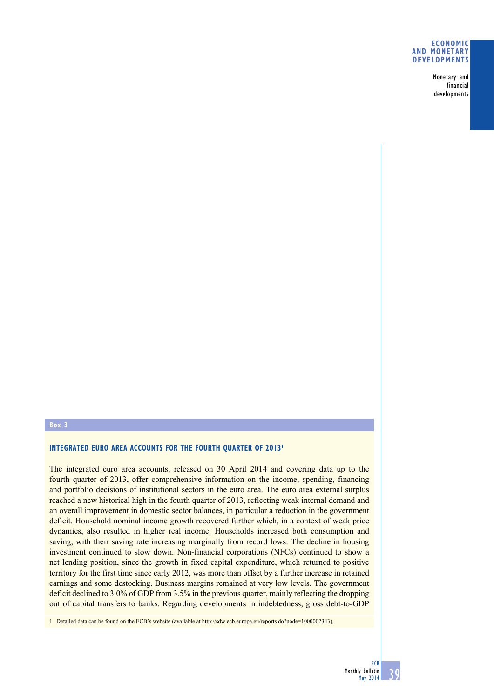### **Economic and monetary developments**

Monetary and financial developments

## **Box 3**

# **INTEGRATED EURO AREA ACCOUNTS FOR THE FOURTH QUARTER OF 2013<sup>1</sup>**

The integrated euro area accounts, released on 30 April 2014 and covering data up to the fourth quarter of 2013, offer comprehensive information on the income, spending, financing and portfolio decisions of institutional sectors in the euro area. The euro area external surplus reached a new historical high in the fourth quarter of 2013, reflecting weak internal demand and an overall improvement in domestic sector balances, in particular a reduction in the government deficit. Household nominal income growth recovered further which, in a context of weak price dynamics, also resulted in higher real income. Households increased both consumption and saving, with their saving rate increasing marginally from record lows. The decline in housing investment continued to slow down. Non-financial corporations (NFCs) continued to show a net lending position, since the growth in fixed capital expenditure, which returned to positive territory for the first time since early 2012, was more than offset by a further increase in retained earnings and some destocking. Business margins remained at very low levels. The government deficit declined to 3.0% of GDP from 3.5% in the previous quarter, mainly reflecting the dropping out of capital transfers to banks. Regarding developments in indebtedness, gross debt-to-GDP

1 Detailed data can be found on the ECB's website (available at http://sdw.ecb.europa.eu/reports.do?node=1000002343).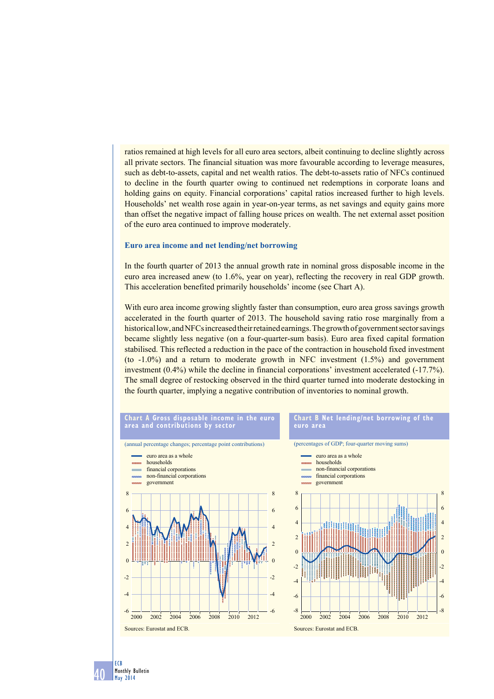ratios remained at high levels for all euro area sectors, albeit continuing to decline slightly across all private sectors. The financial situation was more favourable according to leverage measures, such as debt-to-assets, capital and net wealth ratios. The debt-to-assets ratio of NFCs continued to decline in the fourth quarter owing to continued net redemptions in corporate loans and holding gains on equity. Financial corporations' capital ratios increased further to high levels. Households' net wealth rose again in year-on-year terms, as net savings and equity gains more than offset the negative impact of falling house prices on wealth. The net external asset position of the euro area continued to improve moderately.

#### **Euro area income and net lending/net borrowing**

In the fourth quarter of 2013 the annual growth rate in nominal gross disposable income in the euro area increased anew (to 1.6%, year on year), reflecting the recovery in real GDP growth. This acceleration benefited primarily households' income (see Chart A).

With euro area income growing slightly faster than consumption, euro area gross savings growth accelerated in the fourth quarter of 2013. The household saving ratio rose marginally from a historical low, and NFCs increased their retained earnings. The growth of government sector savings became slightly less negative (on a four-quarter-sum basis). Euro area fixed capital formation stabilised. This reflected a reduction in the pace of the contraction in household fixed investment (to -1.0%) and a return to moderate growth in NFC investment (1.5%) and government investment (0.4%) while the decline in financial corporations' investment accelerated (-17.7%). The small degree of restocking observed in the third quarter turned into moderate destocking in the fourth quarter, implying a negative contribution of inventories to nominal growth.



40 Monthly Bulletin May 2014

ECB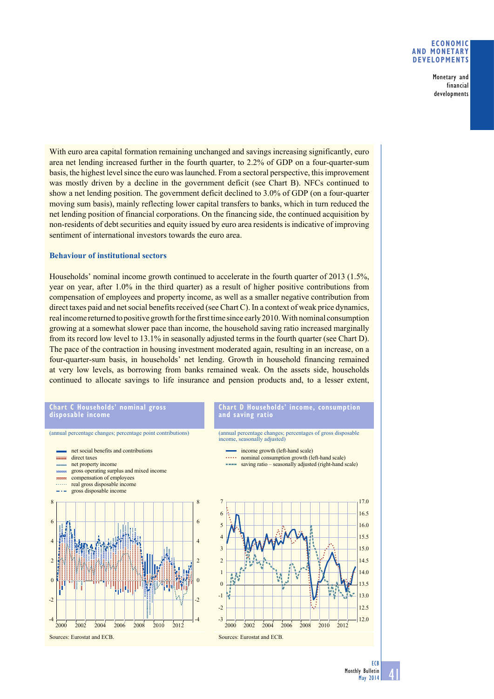### **Economic and monetary developments**

Monetary and financial developments

With euro area capital formation remaining unchanged and savings increasing significantly, euro area net lending increased further in the fourth quarter, to 2.2% of GDP on a four-quarter-sum basis, the highest level since the euro was launched. From a sectoral perspective, this improvement was mostly driven by a decline in the government deficit (see Chart B). NFCs continued to show a net lending position. The government deficit declined to 3.0% of GDP (on a four-quarter moving sum basis), mainly reflecting lower capital transfers to banks, which in turn reduced the net lending position of financial corporations. On the financing side, the continued acquisition by non-residents of debt securities and equity issued by euro area residents is indicative of improving sentiment of international investors towards the euro area.

## **Behaviour of institutional sectors**

Households' nominal income growth continued to accelerate in the fourth quarter of 2013 (1.5%, year on year, after 1.0% in the third quarter) as a result of higher positive contributions from compensation of employees and property income, as well as a smaller negative contribution from direct taxes paid and net social benefits received (see Chart C). In a context of weak price dynamics, real income returned to positive growth for the first time since early 2010. With nominal consumption growing at a somewhat slower pace than income, the household saving ratio increased marginally from its record low level to 13.1% in seasonally adjusted terms in the fourth quarter (see Chart D). The pace of the contraction in housing investment moderated again, resulting in an increase, on a four-quarter-sum basis, in households' net lending. Growth in household financing remained at very low levels, as borrowing from banks remained weak. On the assets side, households continued to allocate savings to life insurance and pension products and, to a lesser extent,

#### **chart c households' nominal gross disposable income**

#### (annual percentage changes; percentage point contributions) net social benefits and contributions direct taxes net property income gross operating surplus and mixed income compensation of employees  $\sim$ real gross disposable income  $-1$ gross disposable income 8 8 6 6 4 4 2 2  $\theta$  $\boldsymbol{0}$ -2 -2 -4 -4 2000 2002 2004 2006 2008 2010 2012 Sources: Eurostat and ECB.

### **Chart D Households' income, consumption and saving ratio**

(annual percentage changes; percentages of gross disposable income, seasonally adjusted)

- income growth (left-hand scale)
- nominal consumption growth (left-hand scale)
- saving ratio seasonally adjusted (right-hand scale)



41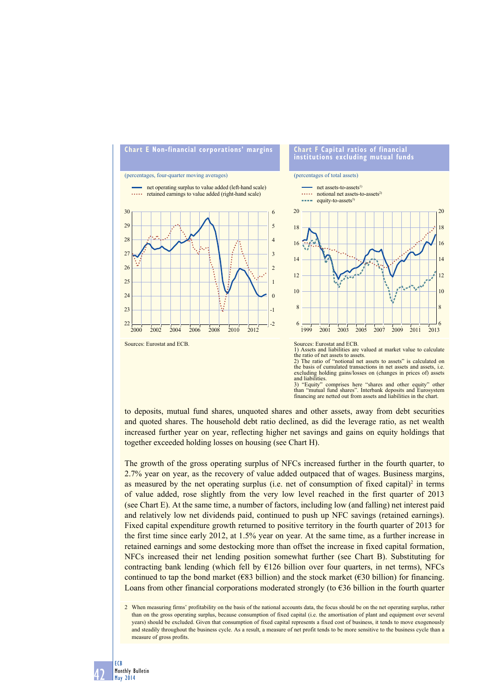

3) "Equity" comprises here "shares and other equity" other than "mutual fund shares". Interbank deposits and Eurosystem financing are netted out from assets and liabilities in the chart.

to deposits, mutual fund shares, unquoted shares and other assets, away from debt securities and quoted shares. The household debt ratio declined, as did the leverage ratio, as net wealth increased further year on year, reflecting higher net savings and gains on equity holdings that together exceeded holding losses on housing (see Chart H).

The growth of the gross operating surplus of NFCs increased further in the fourth quarter, to 2.7% year on year, as the recovery of value added outpaced that of wages. Business margins, as measured by the net operating surplus (i.e. net of consumption of fixed capital)<sup>2</sup> in terms of value added, rose slightly from the very low level reached in the first quarter of 2013 (see Chart E). At the same time, a number of factors, including low (and falling) net interest paid and relatively low net dividends paid, continued to push up NFC savings (retained earnings). Fixed capital expenditure growth returned to positive territory in the fourth quarter of 2013 for the first time since early 2012, at 1.5% year on year. At the same time, as a further increase in retained earnings and some destocking more than offset the increase in fixed capital formation, NFCs increased their net lending position somewhat further (see Chart B). Substituting for contracting bank lending (which fell by  $E126$  billion over four quarters, in net terms), NFCs continued to tap the bond market ( $\epsilon$ 83 billion) and the stock market ( $\epsilon$ 30 billion) for financing. Loans from other financial corporations moderated strongly (to  $636$  billion in the fourth quarter

<sup>2</sup> When measuring firms' profitability on the basis of the national accounts data, the focus should be on the net operating surplus, rather than on the gross operating surplus, because consumption of fixed capital (i.e. the amortisation of plant and equipment over several years) should be excluded. Given that consumption of fixed capital represents a fixed cost of business, it tends to move exogenously and steadily throughout the business cycle. As a result, a measure of net profit tends to be more sensitive to the business cycle than a measure of gross profits.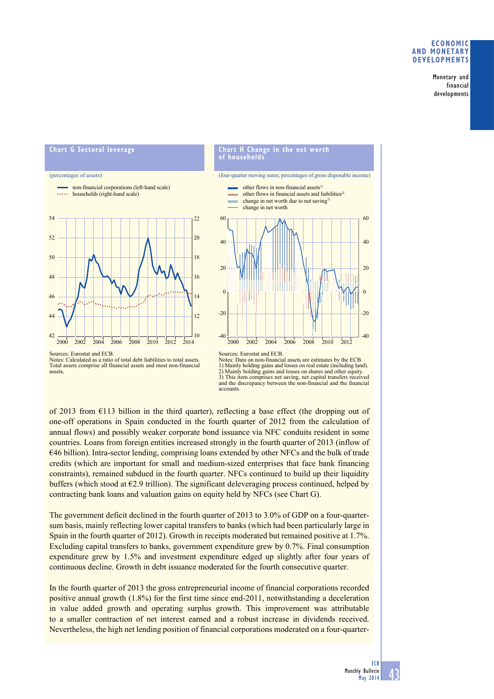## **Economic and monetary developments**

Monetary and financial developments

# **chart G sectoral leverage**















Sources: Eurostat and ECB. Notes: Calculated as a ratio of total debt liabilities to total assets. Total assets comprise all financial assets and most non-financial assets.

of 2013 from €113 billion in the third quarter), reflecting a base effect (the dropping out of one-off operations in Spain conducted in the fourth quarter of 2012 from the calculation of annual flows) and possibly weaker corporate bond issuance via NFC conduits resident in some countries. Loans from foreign entities increased strongly in the fourth quarter of 2013 (inflow of €46 billion). Intra-sector lending, comprising loans extended by other NFCs and the bulk of trade credits (which are important for small and medium-sized enterprises that face bank financing constraints), remained subdued in the fourth quarter. NFCs continued to build up their liquidity buffers (which stood at  $\epsilon$ 2.9 trillion). The significant deleveraging process continued, helped by contracting bank loans and valuation gains on equity held by NFCs (see Chart G).

The government deficit declined in the fourth quarter of 2013 to 3.0% of GDP on a four-quartersum basis, mainly reflecting lower capital transfers to banks (which had been particularly large in Spain in the fourth quarter of 2012). Growth in receipts moderated but remained positive at 1.7%. Excluding capital transfers to banks, government expenditure grew by 0.7%. Final consumption expenditure grew by 1.5% and investment expenditure edged up slightly after four years of continuous decline. Growth in debt issuance moderated for the fourth consecutive quarter.

In the fourth quarter of 2013 the gross entrepreneurial income of financial corporations recorded positive annual growth (1.8%) for the first time since end-2011, notwithstanding a deceleration in value added growth and operating surplus growth. This improvement was attributable to a smaller contraction of net interest earned and a robust increase in dividends received. Nevertheless, the high net lending position of financial corporations moderated on a four-quarter-

Sources: Eurostat and ECB. Notes: Data on non-financial assets are estimates by the ECB. 1) Mainly holding gains and losses on real estate (including land). gains and losses on shares and other equity. 3) This item comprises net saving, net capital transfers received and the discrepancy between the non-financial and the financial accounts.